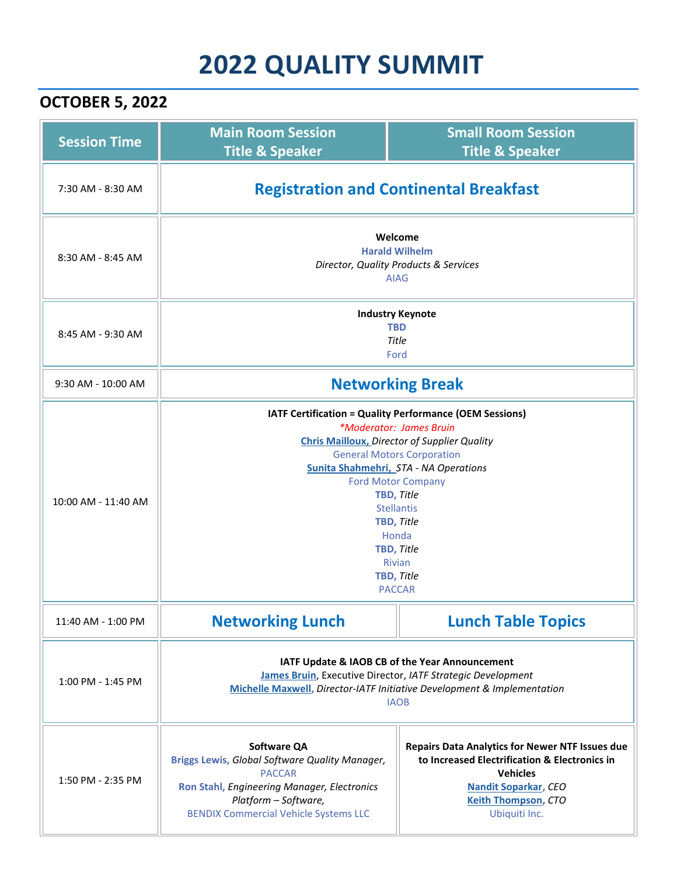## **2022 QUALITY SUMMIT**

## **OCTOBER 5, 2022**

| <b>Session Time</b> | <b>Main Room Session</b><br><b>Title &amp; Speaker</b>                                                                                                                                                                                                                                                                                                                              | <b>Small Room Session</b><br><b>Title &amp; Speaker</b>                                                                                                                                                  |  |
|---------------------|-------------------------------------------------------------------------------------------------------------------------------------------------------------------------------------------------------------------------------------------------------------------------------------------------------------------------------------------------------------------------------------|----------------------------------------------------------------------------------------------------------------------------------------------------------------------------------------------------------|--|
| 7:30 AM - 8:30 AM   | <b>Registration and Continental Breakfast</b>                                                                                                                                                                                                                                                                                                                                       |                                                                                                                                                                                                          |  |
| 8:30 AM - 8:45 AM   | Welcome<br><b>Harald Wilhelm</b><br>Director, Quality Products & Services<br><b>AIAG</b>                                                                                                                                                                                                                                                                                            |                                                                                                                                                                                                          |  |
| 8:45 AM - 9:30 AM   | <b>Industry Keynote</b><br><b>TBD</b><br>Title<br>Ford                                                                                                                                                                                                                                                                                                                              |                                                                                                                                                                                                          |  |
| 9:30 AM - 10:00 AM  | <b>Networking Break</b>                                                                                                                                                                                                                                                                                                                                                             |                                                                                                                                                                                                          |  |
| 10:00 AM - 11:40 AM | <b>IATF Certification = Quality Performance (OEM Sessions)</b><br>*Moderator: James Bruin<br><b>Chris Mailloux, Director of Supplier Quality</b><br><b>General Motors Corporation</b><br>Sunita Shahmehri, STA - NA Operations<br><b>Ford Motor Company</b><br>TBD, Title<br><b>Stellantis</b><br>TBD, Title<br>Honda<br>TBD, Title<br><b>Rivian</b><br>TBD, Title<br><b>PACCAR</b> |                                                                                                                                                                                                          |  |
| 11:40 AM - 1:00 PM  | <b>Networking Lunch</b>                                                                                                                                                                                                                                                                                                                                                             | <b>Lunch Table Topics</b>                                                                                                                                                                                |  |
| 1:00 PM - 1:45 PM   | IATF Update & IAOB CB of the Year Announcement<br>James Bruin, Executive Director, IATF Strategic Development<br>Michelle Maxwell, Director-IATF Initiative Development & Implementation<br><b>IAOB</b>                                                                                                                                                                             |                                                                                                                                                                                                          |  |
| 1:50 PM - 2:35 PM   | <b>Software QA</b><br>Briggs Lewis, Global Software Quality Manager,<br><b>PACCAR</b><br>Ron Stahl, Engineering Manager, Electronics<br>Platform - Software,<br><b>BENDIX Commercial Vehicle Systems LLC</b>                                                                                                                                                                        | <b>Repairs Data Analytics for Newer NTF Issues due</b><br>to Increased Electrification & Electronics in<br><b>Vehicles</b><br><b>Nandit Soparkar, CEO</b><br><b>Keith Thompson, CTO</b><br>Ubiquiti Inc. |  |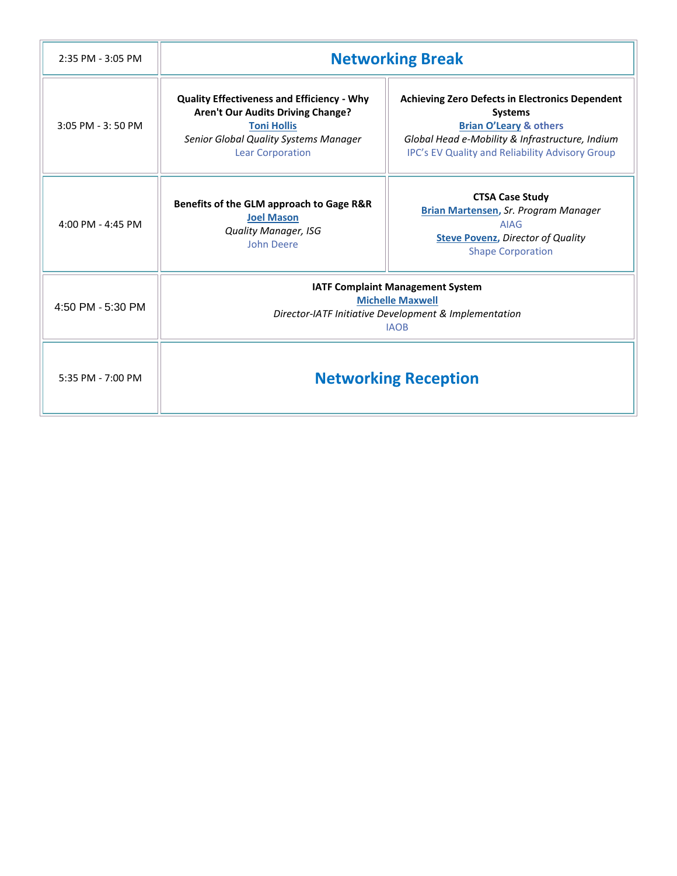| 2:35 PM - 3:05 PM | <b>Networking Break</b>                                                                                                                                                          |                                                                                                                                                                                                                            |  |
|-------------------|----------------------------------------------------------------------------------------------------------------------------------------------------------------------------------|----------------------------------------------------------------------------------------------------------------------------------------------------------------------------------------------------------------------------|--|
| 3:05 PM - 3:50 PM | <b>Quality Effectiveness and Efficiency - Why</b><br>Aren't Our Audits Driving Change?<br><b>Toni Hollis</b><br>Senior Global Quality Systems Manager<br><b>Lear Corporation</b> | <b>Achieving Zero Defects in Electronics Dependent</b><br><b>Systems</b><br><b>Brian O'Leary &amp; others</b><br>Global Head e-Mobility & Infrastructure, Indium<br><b>IPC's EV Quality and Reliability Advisory Group</b> |  |
| 4:00 PM - 4:45 PM | Benefits of the GLM approach to Gage R&R<br><b>Joel Mason</b><br><b>Quality Manager, ISG</b><br><b>John Deere</b>                                                                | <b>CTSA Case Study</b><br><b>Brian Martensen, Sr. Program Manager</b><br><b>AIAG</b><br><b>Steve Povenz, Director of Quality</b><br><b>Shape Corporation</b>                                                               |  |
| 4:50 PM - 5:30 PM | <b>IATF Complaint Management System</b><br><b>Michelle Maxwell</b><br>Director-IATF Initiative Development & Implementation<br><b>IAOB</b>                                       |                                                                                                                                                                                                                            |  |
| 5:35 PM - 7:00 PM | <b>Networking Reception</b>                                                                                                                                                      |                                                                                                                                                                                                                            |  |